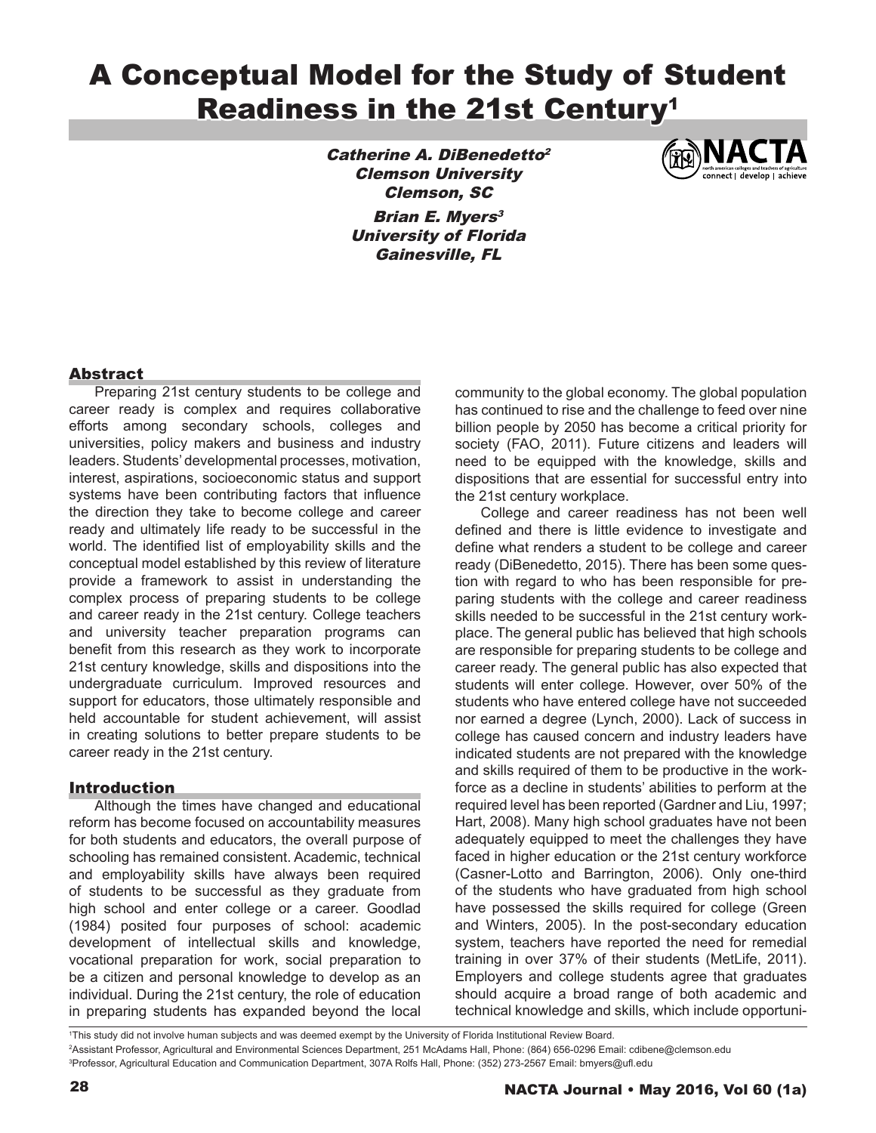# A Conceptual Model for the Study of Student Readiness in the 21st Century<sup>1</sup>

Catherine A. DiBenedetto<sup>2</sup> Clemson University Clemson, SC **Brian E. Myers<sup>3</sup>** University of Florida Gainesville, FL



# **Abstract**

Preparing 21st century students to be college and career ready is complex and requires collaborative efforts among secondary schools, colleges and universities, policy makers and business and industry leaders. Students' developmental processes, motivation, interest, aspirations, socioeconomic status and support systems have been contributing factors that influence the direction they take to become college and career ready and ultimately life ready to be successful in the world. The identified list of employability skills and the conceptual model established by this review of literature provide a framework to assist in understanding the complex process of preparing students to be college and career ready in the 21st century. College teachers and university teacher preparation programs can benefit from this research as they work to incorporate 21st century knowledge, skills and dispositions into the undergraduate curriculum. Improved resources and support for educators, those ultimately responsible and held accountable for student achievement, will assist in creating solutions to better prepare students to be career ready in the 21st century.

#### Introduction

Although the times have changed and educational reform has become focused on accountability measures for both students and educators, the overall purpose of schooling has remained consistent. Academic, technical and employability skills have always been required of students to be successful as they graduate from high school and enter college or a career. Goodlad (1984) posited four purposes of school: academic development of intellectual skills and knowledge, vocational preparation for work, social preparation to be a citizen and personal knowledge to develop as an individual. During the 21st century, the role of education in preparing students has expanded beyond the local

community to the global economy. The global population has continued to rise and the challenge to feed over nine billion people by 2050 has become a critical priority for society (FAO, 2011). Future citizens and leaders will need to be equipped with the knowledge, skills and dispositions that are essential for successful entry into the 21st century workplace.

College and career readiness has not been well defined and there is little evidence to investigate and define what renders a student to be college and career ready (DiBenedetto, 2015). There has been some question with regard to who has been responsible for preparing students with the college and career readiness skills needed to be successful in the 21st century workplace. The general public has believed that high schools are responsible for preparing students to be college and career ready. The general public has also expected that students will enter college. However, over 50% of the students who have entered college have not succeeded nor earned a degree (Lynch, 2000). Lack of success in college has caused concern and industry leaders have indicated students are not prepared with the knowledge and skills required of them to be productive in the workforce as a decline in students' abilities to perform at the required level has been reported (Gardner and Liu, 1997; Hart, 2008). Many high school graduates have not been adequately equipped to meet the challenges they have faced in higher education or the 21st century workforce (Casner-Lotto and Barrington, 2006). Only one-third of the students who have graduated from high school have possessed the skills required for college (Green and Winters, 2005). In the post-secondary education system, teachers have reported the need for remedial training in over 37% of their students (MetLife, 2011). Employers and college students agree that graduates should acquire a broad range of both academic and technical knowledge and skills, which include opportuni-

1 This study did not involve human subjects and was deemed exempt by the University of Florida Institutional Review Board. 2 Assistant Professor, Agricultural and Environmental Sciences Department, 251 McAdams Hall, Phone: (864) 656-0296 Email: cdibene@clemson.edu 3 Professor, Agricultural Education and Communication Department, 307A Rolfs Hall, Phone: (352) 273-2567 Email: bmyers@ufl.edu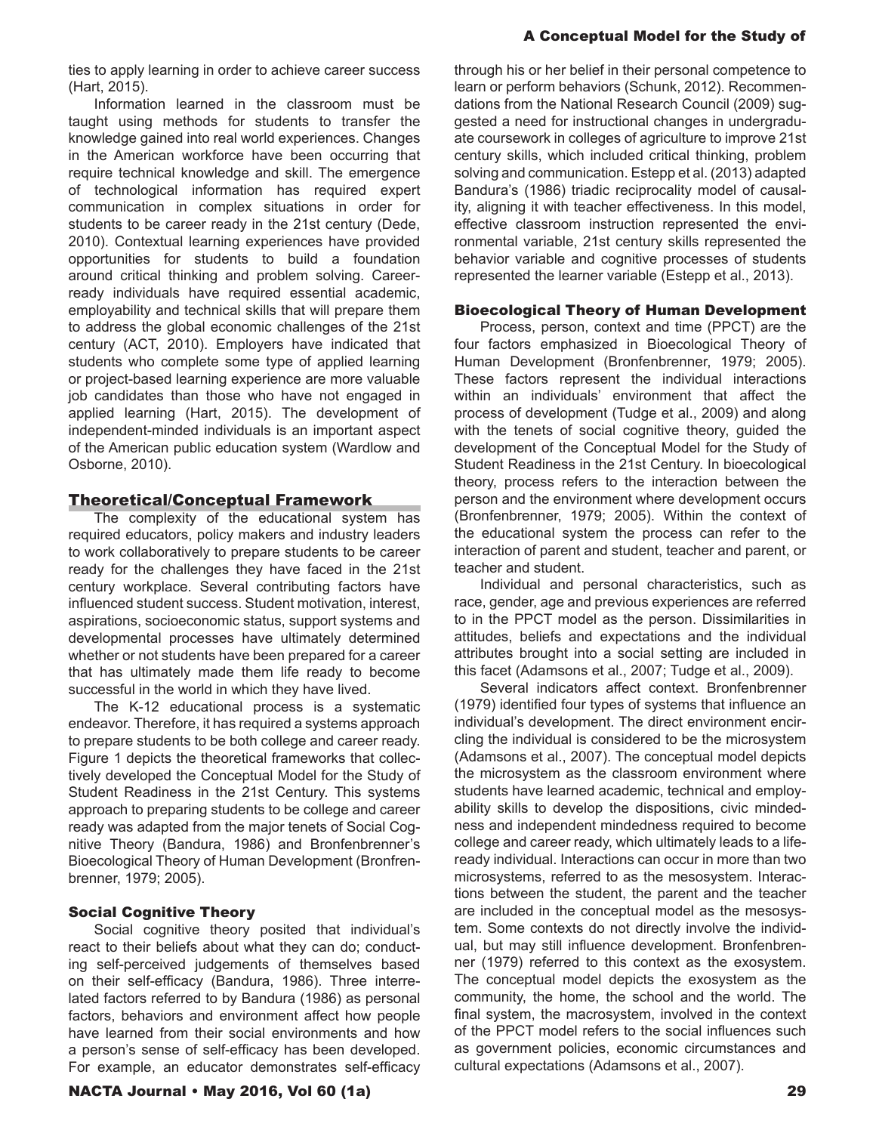ties to apply learning in order to achieve career success (Hart, 2015).

Information learned in the classroom must be taught using methods for students to transfer the knowledge gained into real world experiences. Changes in the American workforce have been occurring that require technical knowledge and skill. The emergence of technological information has required expert communication in complex situations in order for students to be career ready in the 21st century (Dede, 2010). Contextual learning experiences have provided opportunities for students to build a foundation around critical thinking and problem solving. Careerready individuals have required essential academic, employability and technical skills that will prepare them to address the global economic challenges of the 21st century (ACT, 2010). Employers have indicated that students who complete some type of applied learning or project-based learning experience are more valuable job candidates than those who have not engaged in applied learning (Hart, 2015). The development of independent-minded individuals is an important aspect of the American public education system (Wardlow and Osborne, 2010).

#### Theoretical/Conceptual Framework

The complexity of the educational system has required educators, policy makers and industry leaders to work collaboratively to prepare students to be career ready for the challenges they have faced in the 21st century workplace. Several contributing factors have influenced student success. Student motivation, interest, aspirations, socioeconomic status, support systems and developmental processes have ultimately determined whether or not students have been prepared for a career that has ultimately made them life ready to become successful in the world in which they have lived.

The K-12 educational process is a systematic endeavor. Therefore, it has required a systems approach to prepare students to be both college and career ready. Figure 1 depicts the theoretical frameworks that collectively developed the Conceptual Model for the Study of Student Readiness in the 21st Century. This systems approach to preparing students to be college and career ready was adapted from the major tenets of Social Cognitive Theory (Bandura, 1986) and Bronfenbrenner's Bioecological Theory of Human Development (Bronfrenbrenner, 1979; 2005).

#### Social Cognitive Theory

Social cognitive theory posited that individual's react to their beliefs about what they can do; conducting self-perceived judgements of themselves based on their self-efficacy (Bandura, 1986). Three interrelated factors referred to by Bandura (1986) as personal factors, behaviors and environment affect how people have learned from their social environments and how a person's sense of self-efficacy has been developed. For example, an educator demonstrates self-efficacy

#### NACTA Journal • May 2016, Vol 60 (1a) 29

through his or her belief in their personal competence to learn or perform behaviors (Schunk, 2012). Recommendations from the National Research Council (2009) suggested a need for instructional changes in undergraduate coursework in colleges of agriculture to improve 21st century skills, which included critical thinking, problem solving and communication. Estepp et al. (2013) adapted Bandura's (1986) triadic reciprocality model of causality, aligning it with teacher effectiveness. In this model, effective classroom instruction represented the environmental variable, 21st century skills represented the behavior variable and cognitive processes of students represented the learner variable (Estepp et al., 2013).

#### Bioecological Theory of Human Development

Process, person, context and time (PPCT) are the four factors emphasized in Bioecological Theory of Human Development (Bronfenbrenner, 1979; 2005). These factors represent the individual interactions within an individuals' environment that affect the process of development (Tudge et al., 2009) and along with the tenets of social cognitive theory, guided the development of the Conceptual Model for the Study of Student Readiness in the 21st Century. In bioecological theory, process refers to the interaction between the person and the environment where development occurs (Bronfenbrenner, 1979; 2005). Within the context of the educational system the process can refer to the interaction of parent and student, teacher and parent, or teacher and student.

Individual and personal characteristics, such as race, gender, age and previous experiences are referred to in the PPCT model as the person. Dissimilarities in attitudes, beliefs and expectations and the individual attributes brought into a social setting are included in this facet (Adamsons et al., 2007; Tudge et al., 2009).

Several indicators affect context. Bronfenbrenner (1979) identified four types of systems that influence an individual's development. The direct environment encircling the individual is considered to be the microsystem (Adamsons et al., 2007). The conceptual model depicts the microsystem as the classroom environment where students have learned academic, technical and employability skills to develop the dispositions, civic mindedness and independent mindedness required to become college and career ready, which ultimately leads to a lifeready individual. Interactions can occur in more than two microsystems, referred to as the mesosystem. Interactions between the student, the parent and the teacher are included in the conceptual model as the mesosystem. Some contexts do not directly involve the individual, but may still influence development. Bronfenbrenner (1979) referred to this context as the exosystem. The conceptual model depicts the exosystem as the community, the home, the school and the world. The final system, the macrosystem, involved in the context of the PPCT model refers to the social influences such as government policies, economic circumstances and cultural expectations (Adamsons et al., 2007).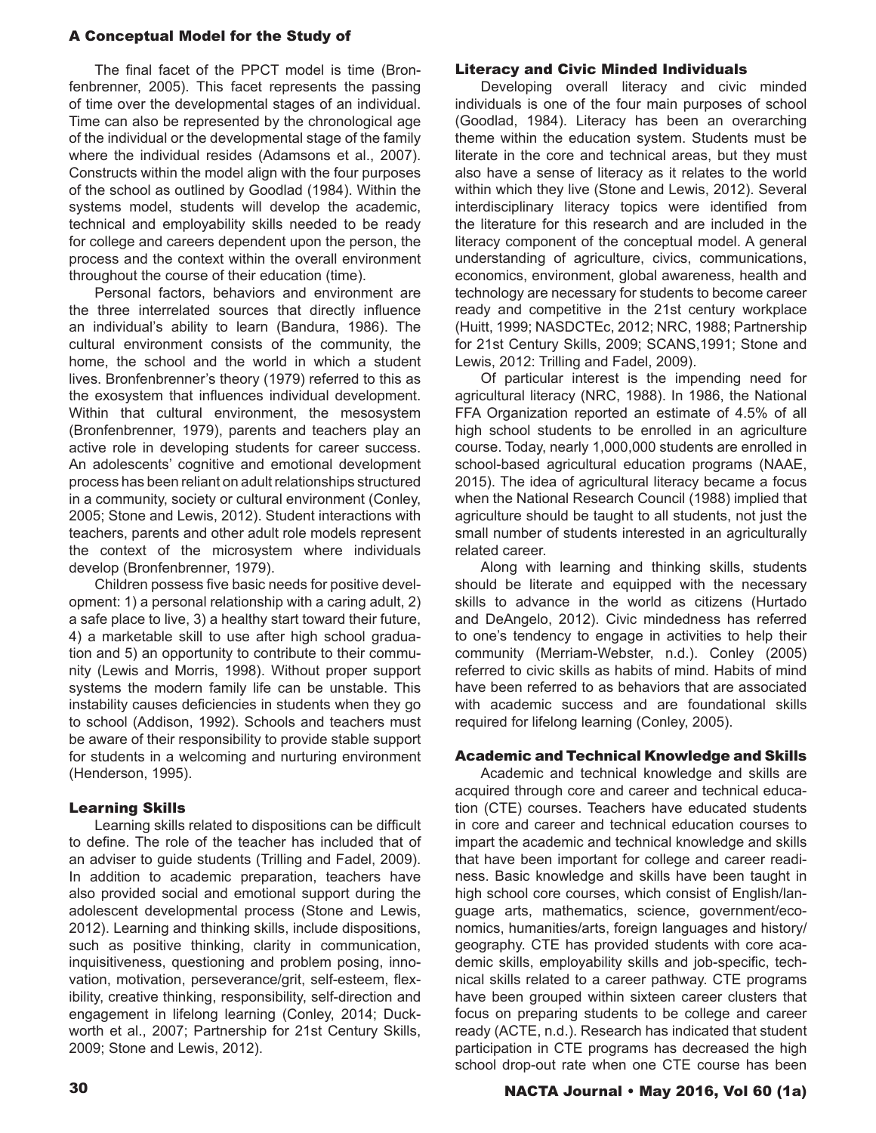The final facet of the PPCT model is time (Bronfenbrenner, 2005). This facet represents the passing of time over the developmental stages of an individual. Time can also be represented by the chronological age of the individual or the developmental stage of the family where the individual resides (Adamsons et al., 2007). Constructs within the model align with the four purposes of the school as outlined by Goodlad (1984). Within the systems model, students will develop the academic, technical and employability skills needed to be ready for college and careers dependent upon the person, the process and the context within the overall environment throughout the course of their education (time).

Personal factors, behaviors and environment are the three interrelated sources that directly influence an individual's ability to learn (Bandura, 1986). The cultural environment consists of the community, the home, the school and the world in which a student lives. Bronfenbrenner's theory (1979) referred to this as the exosystem that influences individual development. Within that cultural environment, the mesosystem (Bronfenbrenner, 1979), parents and teachers play an active role in developing students for career success. An adolescents' cognitive and emotional development process has been reliant on adult relationships structured in a community, society or cultural environment (Conley, 2005; Stone and Lewis, 2012). Student interactions with teachers, parents and other adult role models represent the context of the microsystem where individuals develop (Bronfenbrenner, 1979).

Children possess five basic needs for positive development: 1) a personal relationship with a caring adult, 2) a safe place to live, 3) a healthy start toward their future, 4) a marketable skill to use after high school graduation and 5) an opportunity to contribute to their community (Lewis and Morris, 1998). Without proper support systems the modern family life can be unstable. This instability causes deficiencies in students when they go to school (Addison, 1992). Schools and teachers must be aware of their responsibility to provide stable support for students in a welcoming and nurturing environment (Henderson, 1995).

#### Learning Skills

Learning skills related to dispositions can be difficult to define. The role of the teacher has included that of an adviser to guide students (Trilling and Fadel, 2009). In addition to academic preparation, teachers have also provided social and emotional support during the adolescent developmental process (Stone and Lewis, 2012). Learning and thinking skills, include dispositions, such as positive thinking, clarity in communication, inquisitiveness, questioning and problem posing, innovation, motivation, perseverance/grit, self-esteem, flexibility, creative thinking, responsibility, self-direction and engagement in lifelong learning (Conley, 2014; Duckworth et al., 2007; Partnership for 21st Century Skills, 2009; Stone and Lewis, 2012).

#### Literacy and Civic Minded Individuals

Developing overall literacy and civic minded individuals is one of the four main purposes of school (Goodlad, 1984). Literacy has been an overarching theme within the education system. Students must be literate in the core and technical areas, but they must also have a sense of literacy as it relates to the world within which they live (Stone and Lewis, 2012). Several interdisciplinary literacy topics were identified from the literature for this research and are included in the literacy component of the conceptual model. A general understanding of agriculture, civics, communications, economics, environment, global awareness, health and technology are necessary for students to become career ready and competitive in the 21st century workplace (Huitt, 1999; NASDCTEc, 2012; NRC, 1988; Partnership for 21st Century Skills, 2009; SCANS,1991; Stone and Lewis, 2012: Trilling and Fadel, 2009).

Of particular interest is the impending need for agricultural literacy (NRC, 1988). In 1986, the National FFA Organization reported an estimate of 4.5% of all high school students to be enrolled in an agriculture course. Today, nearly 1,000,000 students are enrolled in school-based agricultural education programs (NAAE, 2015). The idea of agricultural literacy became a focus when the National Research Council (1988) implied that agriculture should be taught to all students, not just the small number of students interested in an agriculturally related career.

Along with learning and thinking skills, students should be literate and equipped with the necessary skills to advance in the world as citizens (Hurtado and DeAngelo, 2012). Civic mindedness has referred to one's tendency to engage in activities to help their community (Merriam-Webster, n.d.). Conley (2005) referred to civic skills as habits of mind. Habits of mind have been referred to as behaviors that are associated with academic success and are foundational skills required for lifelong learning (Conley, 2005).

#### Academic and Technical Knowledge and Skills

Academic and technical knowledge and skills are acquired through core and career and technical education (CTE) courses. Teachers have educated students in core and career and technical education courses to impart the academic and technical knowledge and skills that have been important for college and career readiness. Basic knowledge and skills have been taught in high school core courses, which consist of English/language arts, mathematics, science, government/economics, humanities/arts, foreign languages and history/ geography. CTE has provided students with core academic skills, employability skills and job-specific, technical skills related to a career pathway. CTE programs have been grouped within sixteen career clusters that focus on preparing students to be college and career ready (ACTE, n.d.). Research has indicated that student participation in CTE programs has decreased the high school drop-out rate when one CTE course has been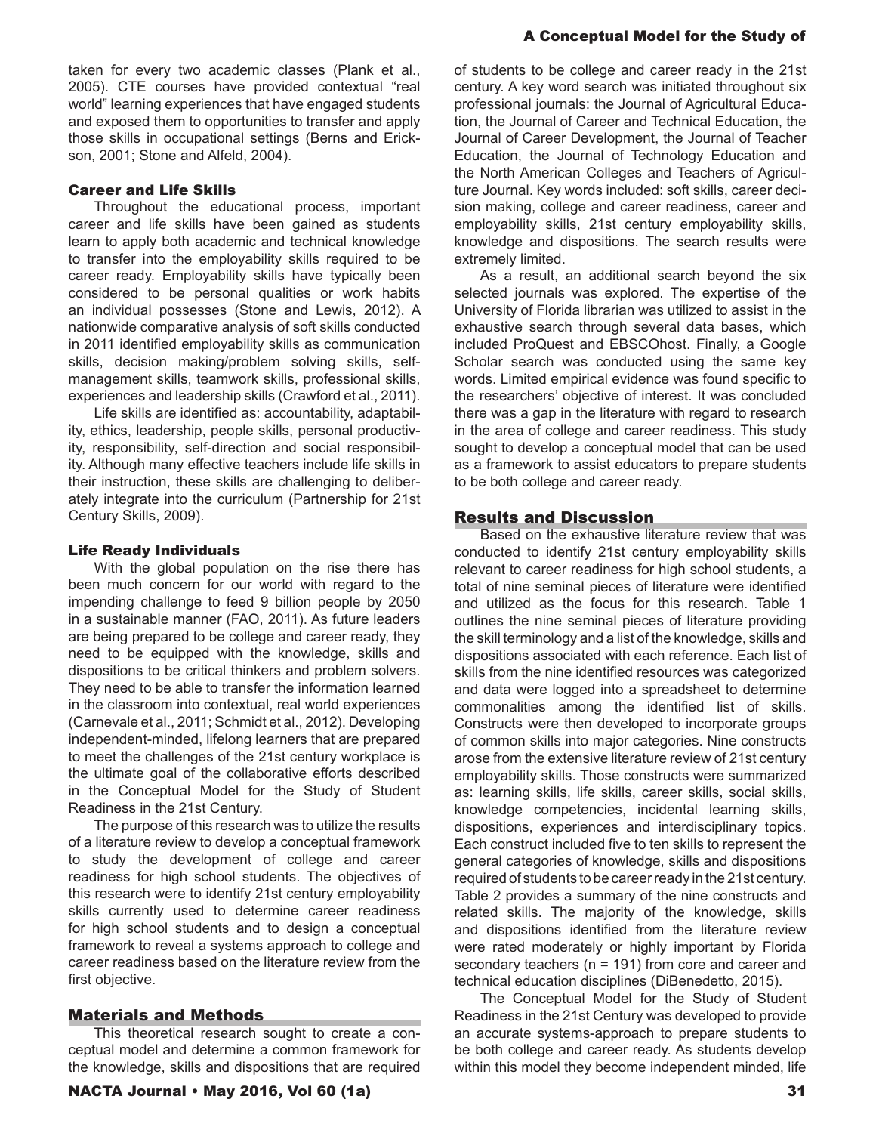taken for every two academic classes (Plank et al., 2005). CTE courses have provided contextual "real world" learning experiences that have engaged students and exposed them to opportunities to transfer and apply those skills in occupational settings (Berns and Erickson, 2001; Stone and Alfeld, 2004).

#### Career and Life Skills

Throughout the educational process, important career and life skills have been gained as students learn to apply both academic and technical knowledge to transfer into the employability skills required to be career ready. Employability skills have typically been considered to be personal qualities or work habits an individual possesses (Stone and Lewis, 2012). A nationwide comparative analysis of soft skills conducted in 2011 identified employability skills as communication skills, decision making/problem solving skills, selfmanagement skills, teamwork skills, professional skills, experiences and leadership skills (Crawford et al., 2011).

Life skills are identified as: accountability, adaptability, ethics, leadership, people skills, personal productivity, responsibility, self-direction and social responsibility. Although many effective teachers include life skills in their instruction, these skills are challenging to deliberately integrate into the curriculum (Partnership for 21st Century Skills, 2009).

#### Life Ready Individuals

With the global population on the rise there has been much concern for our world with regard to the impending challenge to feed 9 billion people by 2050 in a sustainable manner (FAO, 2011). As future leaders are being prepared to be college and career ready, they need to be equipped with the knowledge, skills and dispositions to be critical thinkers and problem solvers. They need to be able to transfer the information learned in the classroom into contextual, real world experiences (Carnevale et al., 2011; Schmidt et al., 2012). Developing independent-minded, lifelong learners that are prepared to meet the challenges of the 21st century workplace is the ultimate goal of the collaborative efforts described in the Conceptual Model for the Study of Student Readiness in the 21st Century.

The purpose of this research was to utilize the results of a literature review to develop a conceptual framework to study the development of college and career readiness for high school students. The objectives of this research were to identify 21st century employability skills currently used to determine career readiness for high school students and to design a conceptual framework to reveal a systems approach to college and career readiness based on the literature review from the first objective.

#### Materials and Methods

This theoretical research sought to create a conceptual model and determine a common framework for the knowledge, skills and dispositions that are required

#### A Conceptual Model for the Study of

of students to be college and career ready in the 21st century. A key word search was initiated throughout six professional journals: the Journal of Agricultural Education, the Journal of Career and Technical Education, the Journal of Career Development, the Journal of Teacher Education, the Journal of Technology Education and the North American Colleges and Teachers of Agriculture Journal. Key words included: soft skills, career decision making, college and career readiness, career and employability skills, 21st century employability skills, knowledge and dispositions. The search results were extremely limited.

As a result, an additional search beyond the six selected journals was explored. The expertise of the University of Florida librarian was utilized to assist in the exhaustive search through several data bases, which included ProQuest and EBSCOhost. Finally, a Google Scholar search was conducted using the same key words. Limited empirical evidence was found specific to the researchers' objective of interest. It was concluded there was a gap in the literature with regard to research in the area of college and career readiness. This study sought to develop a conceptual model that can be used as a framework to assist educators to prepare students to be both college and career ready.

#### Results and Discussion

Based on the exhaustive literature review that was conducted to identify 21st century employability skills relevant to career readiness for high school students, a total of nine seminal pieces of literature were identified and utilized as the focus for this research. Table 1 outlines the nine seminal pieces of literature providing the skill terminology and a list of the knowledge, skills and dispositions associated with each reference. Each list of skills from the nine identified resources was categorized and data were logged into a spreadsheet to determine commonalities among the identified list of skills. Constructs were then developed to incorporate groups of common skills into major categories. Nine constructs arose from the extensive literature review of 21st century employability skills. Those constructs were summarized as: learning skills, life skills, career skills, social skills, knowledge competencies, incidental learning skills, dispositions, experiences and interdisciplinary topics. Each construct included five to ten skills to represent the general categories of knowledge, skills and dispositions required of students to be career ready in the 21st century. Table 2 provides a summary of the nine constructs and related skills. The majority of the knowledge, skills and dispositions identified from the literature review were rated moderately or highly important by Florida secondary teachers (n = 191) from core and career and technical education disciplines (DiBenedetto, 2015).

The Conceptual Model for the Study of Student Readiness in the 21st Century was developed to provide an accurate systems-approach to prepare students to be both college and career ready. As students develop within this model they become independent minded, life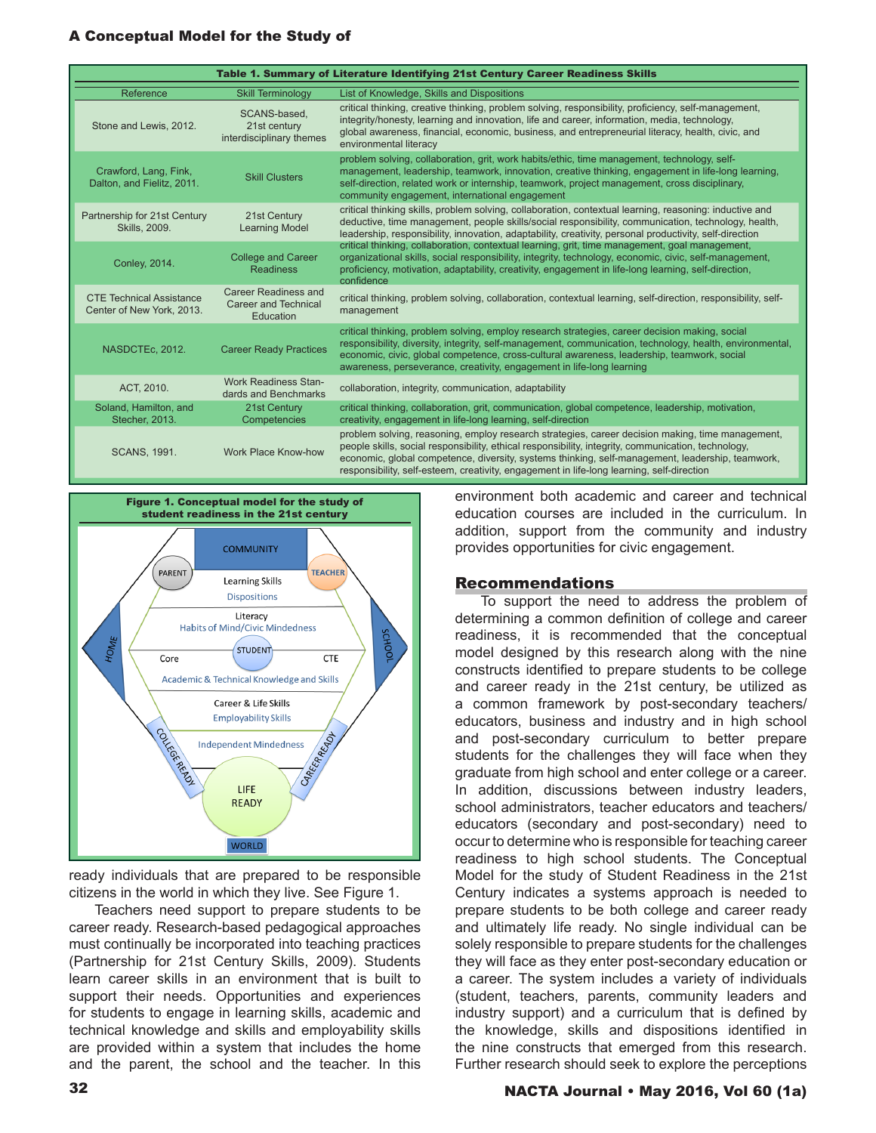| Table 1. Summary of Literature Identifying 21st Century Career Readiness Skills |                                                                  |                                                                                                                                                                                                                                                                                                                                                                                                          |
|---------------------------------------------------------------------------------|------------------------------------------------------------------|----------------------------------------------------------------------------------------------------------------------------------------------------------------------------------------------------------------------------------------------------------------------------------------------------------------------------------------------------------------------------------------------------------|
| Reference                                                                       | <b>Skill Terminology</b>                                         | List of Knowledge, Skills and Dispositions                                                                                                                                                                                                                                                                                                                                                               |
| Stone and Lewis, 2012.                                                          | SCANS-based.<br>21st century<br>interdisciplinary themes         | critical thinking, creative thinking, problem solving, responsibility, proficiency, self-management,<br>integrity/honesty, learning and innovation, life and career, information, media, technology,<br>global awareness, financial, economic, business, and entrepreneurial literacy, health, civic, and<br>environmental literacy                                                                      |
| Crawford, Lang, Fink,<br>Dalton, and Fielitz, 2011.                             | <b>Skill Clusters</b>                                            | problem solving, collaboration, grit, work habits/ethic, time management, technology, self-<br>management, leadership, teamwork, innovation, creative thinking, engagement in life-long learning,<br>self-direction, related work or internship, teamwork, project management, cross disciplinary,<br>community engagement, international engagement                                                     |
| Partnership for 21st Century<br><b>Skills, 2009.</b>                            | 21st Century<br><b>Learning Model</b>                            | critical thinking skills, problem solving, collaboration, contextual learning, reasoning: inductive and<br>deductive, time management, people skills/social responsibility, communication, technology, health,<br>leadership, responsibility, innovation, adaptability, creativity, personal productivity, self-direction                                                                                |
| Conley, 2014.                                                                   | <b>College and Career</b><br><b>Readiness</b>                    | critical thinking, collaboration, contextual learning, grit, time management, goal management,<br>organizational skills, social responsibility, integrity, technology, economic, civic, self-management,<br>proficiency, motivation, adaptability, creativity, engagement in life-long learning, self-direction,<br>confidence                                                                           |
| <b>CTE Technical Assistance</b><br>Center of New York, 2013.                    | Career Readiness and<br><b>Career and Technical</b><br>Education | critical thinking, problem solving, collaboration, contextual learning, self-direction, responsibility, self-<br>management                                                                                                                                                                                                                                                                              |
| NASDCTEc, 2012.                                                                 | <b>Career Ready Practices</b>                                    | critical thinking, problem solving, employ research strategies, career decision making, social<br>responsibility, diversity, integrity, self-management, communication, technology, health, environmental,<br>economic, civic, global competence, cross-cultural awareness, leadership, teamwork, social<br>awareness, perseverance, creativity, engagement in life-long learning                        |
| ACT, 2010.                                                                      | <b>Work Readiness Stan-</b><br>dards and Benchmarks              | collaboration, integrity, communication, adaptability                                                                                                                                                                                                                                                                                                                                                    |
| Soland, Hamilton, and<br>Stecher, 2013.                                         | 21st Century<br>Competencies                                     | critical thinking, collaboration, grit, communication, global competence, leadership, motivation,<br>creativity, engagement in life-long learning, self-direction                                                                                                                                                                                                                                        |
| <b>SCANS, 1991.</b>                                                             | Work Place Know-how                                              | problem solving, reasoning, employ research strategies, career decision making, time management,<br>people skills, social responsibility, ethical responsibility, integrity, communication, technology,<br>economic, global competence, diversity, systems thinking, self-management, leadership, teamwork,<br>responsibility, self-esteem, creativity, engagement in life-long learning, self-direction |



ready individuals that are prepared to be responsible citizens in the world in which they live. See Figure 1.

Teachers need support to prepare students to be career ready. Research-based pedagogical approaches must continually be incorporated into teaching practices (Partnership for 21st Century Skills, 2009). Students learn career skills in an environment that is built to support their needs. Opportunities and experiences for students to engage in learning skills, academic and technical knowledge and skills and employability skills are provided within a system that includes the home and the parent, the school and the teacher. In this

environment both academic and career and technical education courses are included in the curriculum. In addition, support from the community and industry provides opportunities for civic engagement.

#### Recommendations

To support the need to address the problem of determining a common definition of college and career readiness, it is recommended that the conceptual model designed by this research along with the nine constructs identified to prepare students to be college and career ready in the 21st century, be utilized as a common framework by post-secondary teachers/ educators, business and industry and in high school and post-secondary curriculum to better prepare students for the challenges they will face when they graduate from high school and enter college or a career. In addition, discussions between industry leaders, school administrators, teacher educators and teachers/ educators (secondary and post-secondary) need to occur to determine who is responsible for teaching career readiness to high school students. The Conceptual Model for the study of Student Readiness in the 21st Century indicates a systems approach is needed to prepare students to be both college and career ready and ultimately life ready. No single individual can be solely responsible to prepare students for the challenges they will face as they enter post-secondary education or a career. The system includes a variety of individuals (student, teachers, parents, community leaders and industry support) and a curriculum that is defined by the knowledge, skills and dispositions identified in the nine constructs that emerged from this research. Further research should seek to explore the perceptions

# 32 NACTA Journal • May 2016, Vol 60 (1a)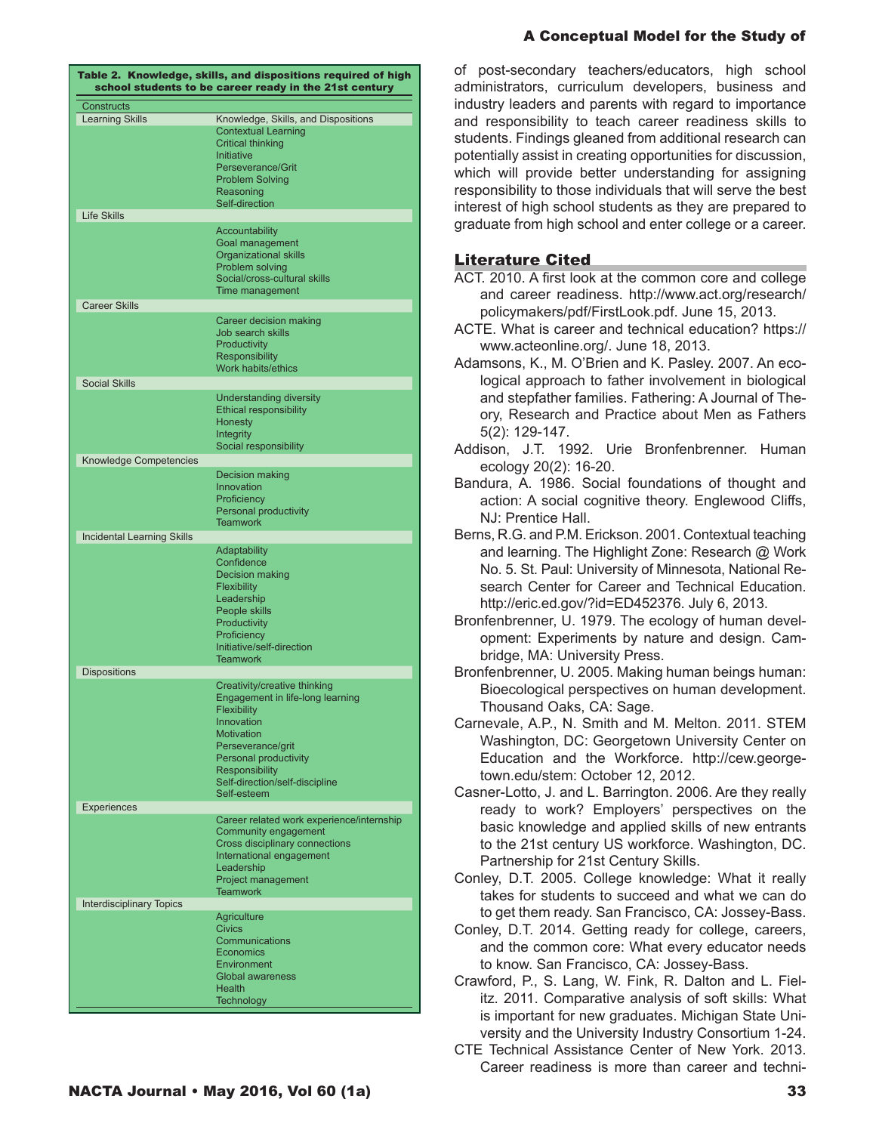| Table 2. Knowledge, skills, and dispositions required of high<br>school students to be career ready in the 21st century |                                           |  |
|-------------------------------------------------------------------------------------------------------------------------|-------------------------------------------|--|
| <b>Constructs</b>                                                                                                       |                                           |  |
|                                                                                                                         |                                           |  |
| <b>Learning Skills</b>                                                                                                  | Knowledge, Skills, and Dispositions       |  |
|                                                                                                                         | <b>Contextual Learning</b>                |  |
|                                                                                                                         | <b>Critical thinking</b>                  |  |
|                                                                                                                         | Initiative                                |  |
|                                                                                                                         | Perseverance/Grit                         |  |
|                                                                                                                         | <b>Problem Solving</b>                    |  |
|                                                                                                                         | Reasoning                                 |  |
|                                                                                                                         | Self-direction                            |  |
| <b>Life Skills</b>                                                                                                      |                                           |  |
|                                                                                                                         | <b>Accountability</b>                     |  |
|                                                                                                                         | Goal management                           |  |
|                                                                                                                         | <b>Organizational skills</b>              |  |
|                                                                                                                         | Problem solving                           |  |
|                                                                                                                         |                                           |  |
|                                                                                                                         | Social/cross-cultural skills              |  |
|                                                                                                                         | Time management                           |  |
| <b>Career Skills</b>                                                                                                    |                                           |  |
|                                                                                                                         | Career decision making                    |  |
|                                                                                                                         | Job search skills                         |  |
|                                                                                                                         |                                           |  |
|                                                                                                                         | Productivity                              |  |
|                                                                                                                         | <b>Responsibility</b>                     |  |
|                                                                                                                         | Work habits/ethics                        |  |
| <b>Social Skills</b>                                                                                                    |                                           |  |
|                                                                                                                         | <b>Understanding diversity</b>            |  |
|                                                                                                                         | <b>Ethical responsibility</b>             |  |
|                                                                                                                         | <b>Honesty</b>                            |  |
|                                                                                                                         |                                           |  |
|                                                                                                                         | Integrity                                 |  |
|                                                                                                                         | Social responsibility                     |  |
| Knowledge Competencies                                                                                                  |                                           |  |
|                                                                                                                         | Decision making                           |  |
|                                                                                                                         | Innovation                                |  |
|                                                                                                                         | Proficiency                               |  |
|                                                                                                                         | <b>Personal productivity</b>              |  |
|                                                                                                                         |                                           |  |
|                                                                                                                         | <b>Teamwork</b>                           |  |
| <b>Incidental Learning Skills</b>                                                                                       |                                           |  |
|                                                                                                                         | Adaptability                              |  |
|                                                                                                                         | Confidence                                |  |
|                                                                                                                         | <b>Decision making</b>                    |  |
|                                                                                                                         | Flexibility                               |  |
|                                                                                                                         | Leadership                                |  |
|                                                                                                                         | People skills                             |  |
|                                                                                                                         |                                           |  |
|                                                                                                                         | Productivity                              |  |
|                                                                                                                         | Proficiency                               |  |
|                                                                                                                         | Initiative/self-direction                 |  |
|                                                                                                                         | <b>Teamwork</b>                           |  |
| <b>Dispositions</b>                                                                                                     |                                           |  |
|                                                                                                                         | Creativity/creative thinking              |  |
|                                                                                                                         | Engagement in life-long learning          |  |
|                                                                                                                         | Flexibility                               |  |
|                                                                                                                         | Innovation                                |  |
|                                                                                                                         | <b>Motivation</b>                         |  |
|                                                                                                                         |                                           |  |
|                                                                                                                         | Perseverance/grit                         |  |
|                                                                                                                         | <b>Personal productivity</b>              |  |
|                                                                                                                         | <b>Responsibility</b>                     |  |
|                                                                                                                         | Self-direction/self-discipline            |  |
|                                                                                                                         | Self-esteem                               |  |
| <b>Experiences</b>                                                                                                      |                                           |  |
|                                                                                                                         | Career related work experience/internship |  |
|                                                                                                                         | Community engagement                      |  |
|                                                                                                                         | Cross disciplinary connections            |  |
|                                                                                                                         | International engagement                  |  |
|                                                                                                                         |                                           |  |
|                                                                                                                         | Leadership                                |  |
|                                                                                                                         | Project management                        |  |
|                                                                                                                         | <b>Teamwork</b>                           |  |
| <b>Interdisciplinary Topics</b>                                                                                         |                                           |  |
|                                                                                                                         | <b>Agriculture</b>                        |  |
|                                                                                                                         | <b>Civics</b>                             |  |
|                                                                                                                         | Communications                            |  |
|                                                                                                                         | Economics                                 |  |
|                                                                                                                         | Environment                               |  |
|                                                                                                                         | <b>Global awareness</b>                   |  |
|                                                                                                                         | <b>Health</b>                             |  |
|                                                                                                                         |                                           |  |
|                                                                                                                         | <b>Technology</b>                         |  |

of post-secondary teachers/educators, high school administrators, curriculum developers, business and industry leaders and parents with regard to importance and responsibility to teach career readiness skills to students. Findings gleaned from additional research can potentially assist in creating opportunities for discussion, which will provide better understanding for assigning responsibility to those individuals that will serve the best interest of high school students as they are prepared to graduate from high school and enter college or a career.

# Literature Cited

- ACT. 2010. A first look at the common core and college and career readiness. http://www.act.org/research/ policymakers/pdf/FirstLook.pdf. June 15, 2013.
- ACTE. What is career and technical education? https:// www.acteonline.org/. June 18, 2013.
- Adamsons, K., M. O'Brien and K. Pasley. 2007. An ecological approach to father involvement in biological and stepfather families. Fathering: A Journal of Theory, Research and Practice about Men as Fathers 5(2): 129-147.
- Addison, J.T. 1992. Urie Bronfenbrenner. Human ecology 20(2): 16-20.
- Bandura, A. 1986. Social foundations of thought and action: A social cognitive theory. Englewood Cliffs, NJ: Prentice Hall.
- Berns, R.G. and P.M. Erickson. 2001. Contextual teaching and learning. The Highlight Zone: Research @ Work No. 5. St. Paul: University of Minnesota, National Research Center for Career and Technical Education. http://eric.ed.gov/?id=ED452376. July 6, 2013.
- Bronfenbrenner, U. 1979. The ecology of human development: Experiments by nature and design. Cambridge, MA: University Press.
- Bronfenbrenner, U. 2005. Making human beings human: Bioecological perspectives on human development. Thousand Oaks, CA: Sage.
- Carnevale, A.P., N. Smith and M. Melton. 2011. STEM Washington, DC: Georgetown University Center on Education and the Workforce. http://cew.georgetown.edu/stem: October 12, 2012.
- Casner-Lotto, J. and L. Barrington. 2006. Are they really ready to work? Employers' perspectives on the basic knowledge and applied skills of new entrants to the 21st century US workforce. Washington, DC. Partnership for 21st Century Skills.

Conley, D.T. 2005. College knowledge: What it really takes for students to succeed and what we can do to get them ready. San Francisco, CA: Jossey-Bass.

- Conley, D.T. 2014. Getting ready for college, careers, and the common core: What every educator needs to know. San Francisco, CA: Jossey-Bass.
- Crawford, P., S. Lang, W. Fink, R. Dalton and L. Fielitz. 2011. Comparative analysis of soft skills: What is important for new graduates. Michigan State University and the University Industry Consortium 1-24.
- CTE Technical Assistance Center of New York. 2013. Career readiness is more than career and techni-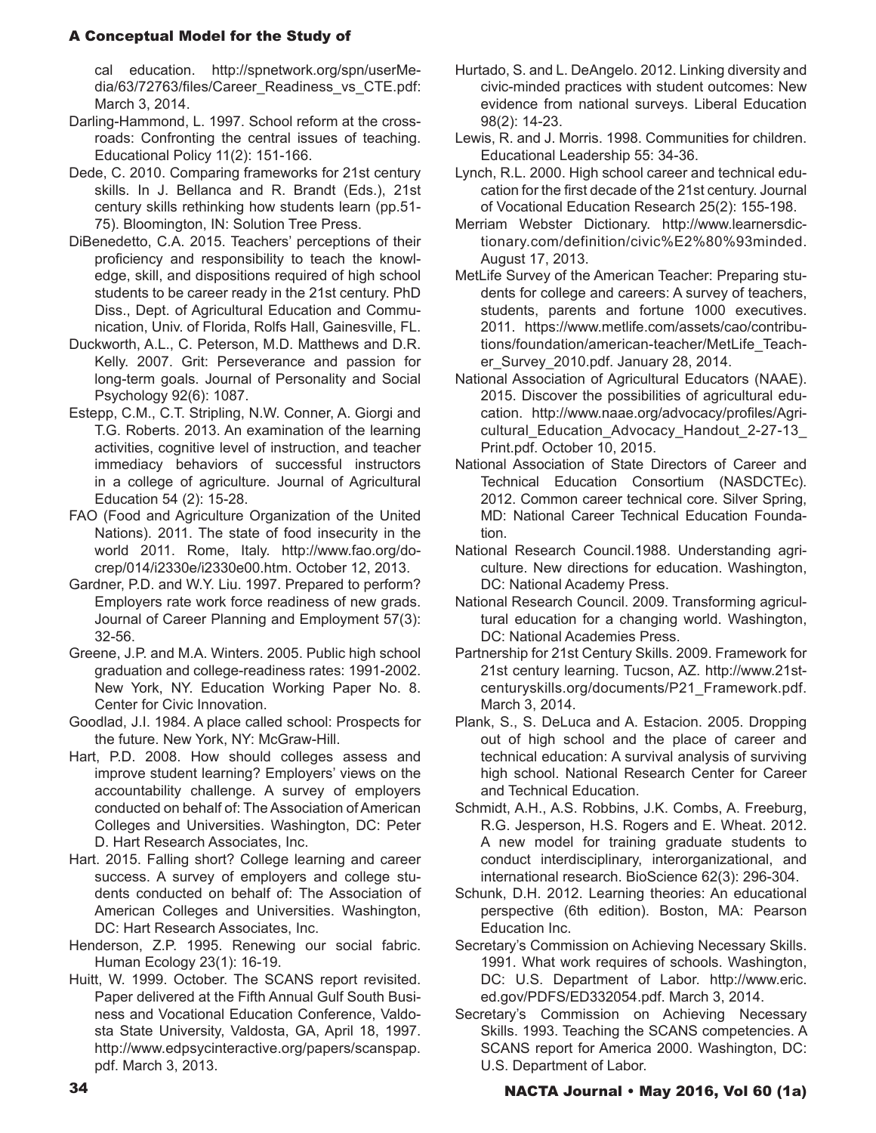cal education. http://spnetwork.org/spn/userMedia/63/72763/files/Career\_Readiness\_vs\_CTE.pdf: March 3, 2014.

- Darling-Hammond, L. 1997. School reform at the crossroads: Confronting the central issues of teaching. Educational Policy 11(2): 151-166.
- Dede, C. 2010. Comparing frameworks for 21st century skills. In J. Bellanca and R. Brandt (Eds.), 21st century skills rethinking how students learn (pp.51- 75). Bloomington, IN: Solution Tree Press.
- DiBenedetto, C.A. 2015. Teachers' perceptions of their proficiency and responsibility to teach the knowledge, skill, and dispositions required of high school students to be career ready in the 21st century. PhD Diss., Dept. of Agricultural Education and Communication, Univ. of Florida, Rolfs Hall, Gainesville, FL.
- Duckworth, A.L., C. Peterson, M.D. Matthews and D.R. Kelly. 2007. Grit: Perseverance and passion for long-term goals. Journal of Personality and Social Psychology 92(6): 1087.
- Estepp, C.M., C.T. Stripling, N.W. Conner, A. Giorgi and T.G. Roberts. 2013. An examination of the learning activities, cognitive level of instruction, and teacher immediacy behaviors of successful instructors in a college of agriculture. Journal of Agricultural Education 54 (2): 15-28.
- FAO (Food and Agriculture Organization of the United Nations). 2011. The state of food insecurity in the world 2011. Rome, Italy. http://www.fao.org/docrep/014/i2330e/i2330e00.htm. October 12, 2013.
- Gardner, P.D. and W.Y. Liu. 1997. Prepared to perform? Employers rate work force readiness of new grads. Journal of Career Planning and Employment 57(3): 32-56.
- Greene, J.P. and M.A. Winters. 2005. Public high school graduation and college-readiness rates: 1991-2002. New York, NY. Education Working Paper No. 8. Center for Civic Innovation.
- Goodlad, J.I. 1984. A place called school: Prospects for the future. New York, NY: McGraw-Hill.
- Hart, P.D. 2008. How should colleges assess and improve student learning? Employers' views on the accountability challenge. A survey of employers conducted on behalf of: The Association of American Colleges and Universities. Washington, DC: Peter D. Hart Research Associates, Inc.
- Hart. 2015. Falling short? College learning and career success. A survey of employers and college students conducted on behalf of: The Association of American Colleges and Universities. Washington, DC: Hart Research Associates, Inc.
- Henderson, Z.P. 1995. Renewing our social fabric. Human Ecology 23(1): 16-19.
- Huitt, W. 1999. October. The SCANS report revisited. Paper delivered at the Fifth Annual Gulf South Business and Vocational Education Conference, Valdosta State University, Valdosta, GA, April 18, 1997. http://www.edpsycinteractive.org/papers/scanspap. pdf. March 3, 2013.
- Hurtado, S. and L. DeAngelo. 2012. Linking diversity and civic-minded practices with student outcomes: New evidence from national surveys. Liberal Education 98(2): 14-23.
- Lewis, R. and J. Morris. 1998. Communities for children. Educational Leadership 55: 34-36.
- Lynch, R.L. 2000. High school career and technical education for the first decade of the 21st century. Journal of Vocational Education Research 25(2): 155-198.
- Merriam Webster Dictionary. http://www.learnersdictionary.com/definition/civic%E2%80%93minded. August 17, 2013.
- MetLife Survey of the American Teacher: Preparing students for college and careers: A survey of teachers, students, parents and fortune 1000 executives. 2011. https://www.metlife.com/assets/cao/contributions/foundation/american-teacher/MetLife\_Teacher\_Survey\_2010.pdf. January 28, 2014.
- National Association of Agricultural Educators (NAAE). 2015. Discover the possibilities of agricultural education. http://www.naae.org/advocacy/profiles/Agricultural\_Education\_Advocacy\_Handout\_2-27-13\_ Print.pdf. October 10, 2015.
- National Association of State Directors of Career and Technical Education Consortium (NASDCTEc). 2012. Common career technical core. Silver Spring, MD: National Career Technical Education Foundation.
- National Research Council.1988. Understanding agriculture. New directions for education. Washington, DC: National Academy Press.
- National Research Council. 2009. Transforming agricultural education for a changing world. Washington, DC: National Academies Press.
- Partnership for 21st Century Skills. 2009. Framework for 21st century learning. Tucson, AZ. http://www.21stcenturyskills.org/documents/P21\_Framework.pdf. March 3, 2014.
- Plank, S., S. DeLuca and A. Estacion. 2005. Dropping out of high school and the place of career and technical education: A survival analysis of surviving high school. National Research Center for Career and Technical Education.
- Schmidt, A.H., A.S. Robbins, J.K. Combs, A. Freeburg, R.G. Jesperson, H.S. Rogers and E. Wheat. 2012. A new model for training graduate students to conduct interdisciplinary, interorganizational, and international research. BioScience 62(3): 296-304.
- Schunk, D.H. 2012. Learning theories: An educational perspective (6th edition). Boston, MA: Pearson Education Inc.
- Secretary's Commission on Achieving Necessary Skills. 1991. What work requires of schools. Washington, DC: U.S. Department of Labor. http://www.eric. ed.gov/PDFS/ED332054.pdf. March 3, 2014.
- Secretary's Commission on Achieving Necessary Skills. 1993. Teaching the SCANS competencies. A SCANS report for America 2000. Washington, DC: U.S. Department of Labor.

# 34 NACTA Journal • May 2016, Vol 60 (1a)